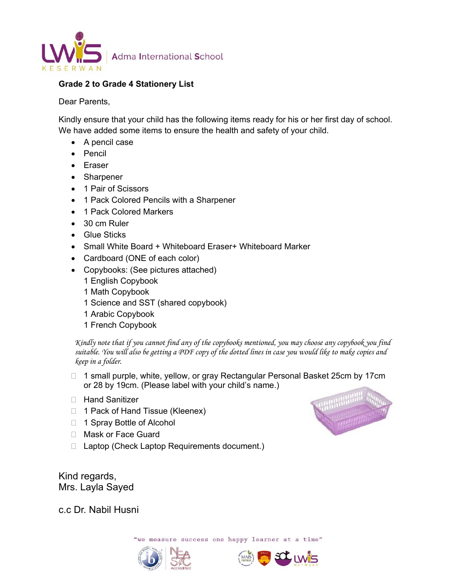

## **Grade 2 to Grade 4 Stationery List**

Dear Parents,

Kindly ensure that your child has the following items ready for his or her first day of school. We have added some items to ensure the health and safety of your child.

- A pencil case
- Pencil
- Eraser
- Sharpener
- 1 Pair of Scissors
- 1 Pack Colored Pencils with a Sharpener
- 1 Pack Colored Markers
- 30 cm Ruler
- Glue Sticks
- Small White Board + Whiteboard Eraser+ Whiteboard Marker
- Cardboard (ONE of each color)
- Copybooks: (See pictures attached)
	- 1 English Copybook
	- 1 Math Copybook
	- 1 Science and SST (shared copybook)
	- 1 Arabic Copybook
	- 1 French Copybook

*Kindly note that if you cannot find any of the copybooks mentioned, you may choose any copybook you find suitable. You will also be getting a PDF copy of the dotted lines in case you would like to make copies and keep in a folder.* 

- □ 1 small purple, white, yellow, or gray Rectangular Personal Basket 25cm by 17cm or 28 by 19cm. (Please label with your child's name.)
- □ Hand Sanitizer
- 1 Pack of Hand Tissue (Kleenex)
- □ 1 Spray Bottle of Alcohol
- □ Mask or Face Guard
- □ Laptop (Check Laptop Requirements document.)

Kind regards, Mrs. Layla Sayed

c.c Dr. Nabil Husni

we measure success one happy learner at a time"





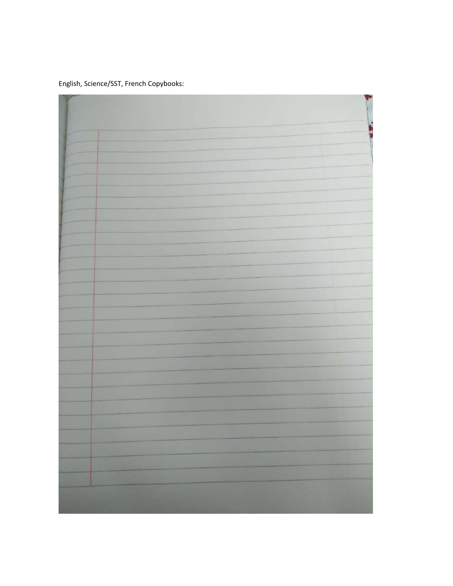English, Science/SST, French Copybooks: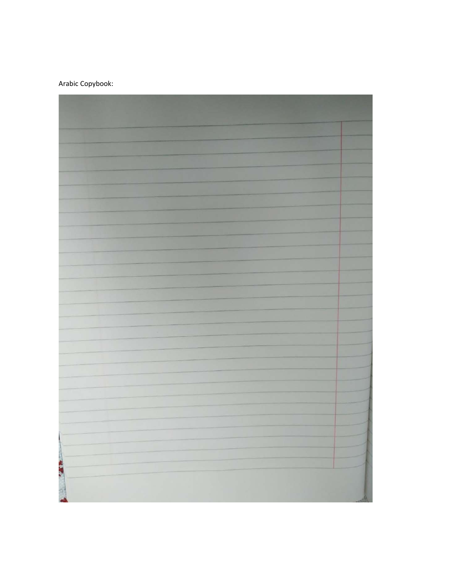## Arabic Copybook:

| <b>EXECUTE</b> |  |
|----------------|--|
|                |  |
|                |  |